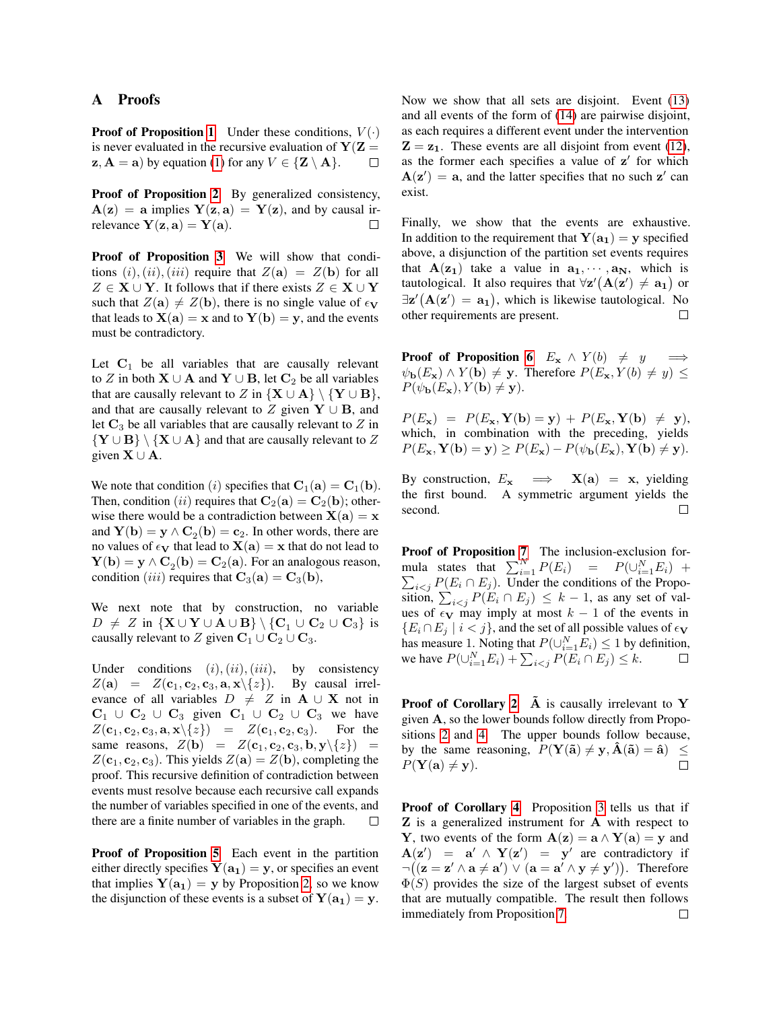## <span id="page-0-0"></span>A Proofs

**Proof of Proposition 1** Under these conditions,  $V(\cdot)$ is never evaluated in the recursive evaluation of  $Y(Z =$  $z, A = a$ ) by equation (1) for any  $V \in \{Z \setminus A\}.$ П

Proof of Proposition 2 By generalized consistency,  $A(z) = a$  implies  $Y(z, a) = Y(z)$ , and by causal irrelevance  $Y(z, a) = Y(a)$ .  $\Box$ 

Proof of Proposition 3 We will show that conditions  $(i)$ ,  $(ii)$ ,  $(iii)$  require that  $Z(\mathbf{a}) = Z(\mathbf{b})$  for all  $Z \in \mathbf{X} \cup \mathbf{Y}$ . It follows that if there exists  $Z \in \mathbf{X} \cup \mathbf{Y}$ such that  $Z(a) \neq Z(b)$ , there is no single value of  $\epsilon_{V}$ that leads to  $X(a) = x$  and to  $Y(b) = y$ , and the events must be contradictory.

Let  $C_1$  be all variables that are causally relevant to Z in both  $X \cup A$  and  $Y \cup B$ , let  $C_2$  be all variables that are causally relevant to Z in  ${X \cup A} \ \{Y \cup B\}$ , and that are causally relevant to Z given  $Y \cup B$ , and let  $C_3$  be all variables that are causally relevant to Z in  ${Y \cup B} \setminus {X \cup A}$  and that are causally relevant to Z given  $X \cup A$ .

We note that condition (i) specifies that  $C_1(a) = C_1(b)$ . Then, condition (ii) requires that  $C_2(a) = C_2(b)$ ; otherwise there would be a contradiction between  $X(a) = x$ and  $Y(b) = y \wedge C_2(b) = c_2$ . In other words, there are no values of  $\epsilon_V$  that lead to  $X(a) = x$  that do not lead to  $\mathbf{Y}(\mathbf{b}) = \mathbf{y} \wedge \mathbf{C}_2(\mathbf{b}) = \mathbf{C}_2(\mathbf{a})$ . For an analogous reason, condition (iii) requires that  $C_3(a) = C_3(b)$ ,

We next note that by construction, no variable  $D \neq Z$  in  $\{X \cup Y \cup A \cup B\} \setminus \{C_1 \cup C_2 \cup C_3\}$  is causally relevant to Z given  $C_1 \cup C_2 \cup C_3$ .

Under conditions  $(i)$ ,  $(ii)$ ,  $(iii)$ , by consistency  $Z(\mathbf{a}) = Z(\mathbf{c}_1, \mathbf{c}_2, \mathbf{c}_3, \mathbf{a}, \mathbf{x} \setminus \{z\}).$  By causal irrelevance of all variables  $D \neq Z$  in  $A \cup X$  not in  $C_1 \cup C_2 \cup C_3$  given  $C_1 \cup C_2 \cup C_3$  we have  $Z(\mathbf{c}_1, \mathbf{c}_2, \mathbf{c}_3, \mathbf{a}, \mathbf{x} \setminus \{z\}) = Z(\mathbf{c}_1, \mathbf{c}_2, \mathbf{c}_3).$  For the same reasons,  $Z(\mathbf{b}) = Z(\mathbf{c}_1, \mathbf{c}_2, \mathbf{c}_3, \mathbf{b}, \mathbf{y} \setminus \{z\}) =$  $Z(\mathbf{c}_1, \mathbf{c}_2, \mathbf{c}_3)$ . This yields  $Z(\mathbf{a}) = Z(\mathbf{b})$ , completing the proof. This recursive definition of contradiction between events must resolve because each recursive call expands the number of variables specified in one of the events, and there are a finite number of variables in the graph. П

Proof of Proposition 5 Each event in the partition either directly specifies  $Y(a_1) = y$ , or specifies an event that implies  $Y(a_1) = y$  by Proposition 2, so we know the disjunction of these events is a subset of  $Y(a_1) = y$ . Now we show that all sets are disjoint. Event (13) and all events of the form of (14) are pairwise disjoint, as each requires a different event under the intervention  $\mathbf{Z} = \mathbf{z}_1$ . These events are all disjoint from event (12), as the former each specifies a value of  $z'$  for which  $A(z') = a$ , and the latter specifies that no such z' can exist.

Finally, we show that the events are exhaustive. In addition to the requirement that  $Y(a_1) = y$  specified above, a disjunction of the partition set events requires that  $A(z_1)$  take a value in  $a_1, \dots, a_N$ , which is tautological. It also requires that  $\forall z' \big( \mathbf{A} (z') \neq \mathbf{a_1} \big)$  or  $\exists z' (A(z') = a_1)$ , which is likewise tautological. No other requirements are present.  $\Box$ 

**Proof of Proposition 6**  $E_x \wedge Y(b) \neq y$  $\psi_{\bf b}(E_{\bf x}) \wedge Y({\bf b}) \neq {\bf y}$ . Therefore  $P(E_{\bf x}, Y(b) \neq y) \leq$  $P(\psi_{\mathbf{b}}(E_{\mathbf{x}}), Y(\mathbf{b}) \neq \mathbf{y}).$ 

 $P(E_{\mathbf{x}}) = P(E_{\mathbf{x}}, \mathbf{Y}(\mathbf{b}) = \mathbf{y}) + P(E_{\mathbf{x}}, \mathbf{Y}(\mathbf{b}) \neq \mathbf{y}),$ which, in combination with the preceding, yields  $P(E_{\mathbf{x}}, \mathbf{Y(b)} = \mathbf{y}) \ge P(E_{\mathbf{x}}) - P(\psi_{\mathbf{b}}(E_{\mathbf{x}}), \mathbf{Y(b)} \neq \mathbf{y}).$ 

By construction,  $E_x \implies X(a) = x$ , yielding the first bound. A symmetric argument yields the second.  $\Box$ 

Proof of Proposition 7 The inclusion-exclusion formula states that  $\sum_{i=1}^{N} P(E_i) = P(\bigcup_{i=1}^{N} E_i) +$  $\sum_{i \le j} P(E_i \cap E_j)$ . Under the conditions of the Proposition,  $\sum_{i < j} P(E_i \cap E_j) \leq k - 1$ , as any set of values of  $\epsilon$ <sub>V</sub> may imply at most  $k - 1$  of the events in  ${E_i \cap E_j \mid i < j}$ , and the set of all possible values of  $\epsilon_{\mathbf{V}}$ has measure 1. Noting that  $P(\bigcup_{i=1}^{N} E_i) \leq 1$  by definition, we have  $P(\bigcup_{i=1}^{N} E_i) + \sum_{i < j} P(E_i \cap E_j) \leq k$ .  $\Box$ 

**Proof of Corollary 2**  $\tilde{A}$  is causally irrelevant to Y given A, so the lower bounds follow directly from Propositions 2 and 4. The upper bounds follow because, by the same reasoning,  $P(Y(\tilde{a}) \neq y, \hat{A}(\tilde{a}) = \hat{a}) \leq$  $P(Y(a) \neq y)$ .  $\Box$ 

Proof of Corollary 4 Proposition 3 tells us that if Z is a generalized instrument for A with respect to Y, two events of the form  $\mathbf{A}(\mathbf{z}) = \mathbf{a} \wedge \mathbf{Y}(\mathbf{a}) = \mathbf{y}$  and  $A(z') = a' \wedge Y(z') = y'$  are contradictory if  $\neg((\mathbf{z} = \mathbf{z}' \land \mathbf{a} \neq \mathbf{a}') \lor (\mathbf{a} = \mathbf{a}' \land \mathbf{y} \neq \mathbf{y}'))$ . Therefore  $\Phi(S)$  provides the size of the largest subset of events that are mutually compatible. The result then follows immediately from Proposition 7. $\Box$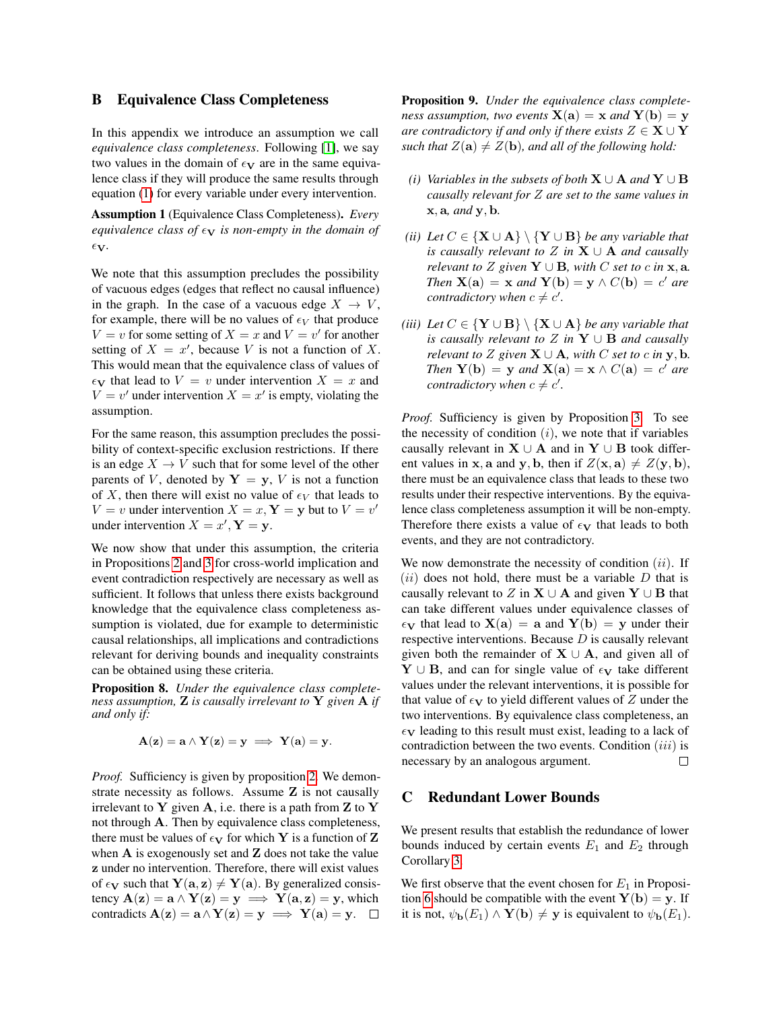### B Equivalence Class Completeness

In this appendix we introduce an assumption we call *equivalence class completeness*. Following [\[1\]](#page-5-0), we say two values in the domain of  $\epsilon_{\mathbf{V}}$  are in the same equivalence class if they will produce the same results through equation [\(1\)](#page-0-0) for every variable under every intervention.

Assumption 1 (Equivalence Class Completeness). *Every equivalence class of*  $\epsilon$ **v** *is non-empty in the domain of*  $\epsilon$ <sub>V</sub>.

We note that this assumption precludes the possibility of vacuous edges (edges that reflect no causal influence) in the graph. In the case of a vacuous edge  $X \to V$ , for example, there will be no values of  $\epsilon_V$  that produce  $V = v$  for some setting of  $X = x$  and  $V = v'$  for another setting of  $X = x'$ , because V is not a function of X. This would mean that the equivalence class of values of  $\epsilon_{\mathbf{V}}$  that lead to  $V = v$  under intervention  $X = x$  and  $V = v'$  under intervention  $X = x'$  is empty, violating the assumption.

For the same reason, this assumption precludes the possibility of context-specific exclusion restrictions. If there is an edge  $X \to V$  such that for some level of the other parents of V, denoted by  $Y = y$ , V is not a function of X, then there will exist no value of  $\epsilon_V$  that leads to  $V = v$  under intervention  $X = x$ ,  $Y = y$  but to  $V = v'$ under intervention  $X = x'$ ,  $Y = y$ .

We now show that under this assumption, the criteria in Propositions [2](#page-0-0) and [3](#page-0-0) for cross-world implication and event contradiction respectively are necessary as well as sufficient. It follows that unless there exists background knowledge that the equivalence class completeness assumption is violated, due for example to deterministic causal relationships, all implications and contradictions relevant for deriving bounds and inequality constraints can be obtained using these criteria.

Proposition 8. *Under the equivalence class completeness assumption,* Z *is causally irrelevant to* Y *given* A *if and only if:*

$$
\mathbf{A}(\mathbf{z}) = \mathbf{a} \wedge \mathbf{Y}(\mathbf{z}) = \mathbf{y} \implies \mathbf{Y}(\mathbf{a}) = \mathbf{y}.
$$

*Proof.* Sufficiency is given by proposition [2.](#page-0-0) We demonstrate necessity as follows. Assume Z is not causally irrelevant to Y given A, i.e. there is a path from  $Z$  to Y not through A. Then by equivalence class completeness, there must be values of  $\epsilon_{\mathbf{V}}$  for which Y is a function of Z when  $A$  is exogenously set and  $Z$  does not take the value z under no intervention. Therefore, there will exist values of  $\epsilon_{\mathbf{V}}$  such that  $\mathbf{Y}(\mathbf{a}, \mathbf{z}) \neq \mathbf{Y}(\mathbf{a})$ . By generalized consistency  $A(z) = a \wedge Y(z) = y \implies Y(a, z) = y$ , which contradicts  $\mathbf{A}(\mathbf{z}) = \mathbf{a} \wedge \mathbf{Y}(\mathbf{z}) = \mathbf{y} \implies \mathbf{Y}(\mathbf{a}) = \mathbf{y}$ .  $\Box$ 

<span id="page-1-0"></span>Proposition 9. *Under the equivalence class completeness assumption, two events*  $X(a) = x$  *and*  $Y(b) = y$ *are contradictory if and only if there exists*  $Z \in \mathbf{X} \cup \mathbf{Y}$ *such that*  $Z(\mathbf{a}) \neq Z(\mathbf{b})$ *, and all of the following hold:* 

- *(i) Variables in the subsets of both*  $X \cup A$  *and*  $Y \cup B$ *causally relevant for* Z *are set to the same values in* x, a*, and* y, b*.*
- *(ii) Let*  $C \in \{X \cup A\} \setminus \{Y \cup B\}$  *be any variable that is causally relevant to* Z *in*  $X \cup A$  *and causally relevant to*  $Z$  *given*  $Y \cup B$ *, with*  $C$  *set to*  $c$  *in*  $x$ *,*  $a$ *. Then*  $X(a) = x$  *and*  $Y(b) = y \wedge C(b) = c'$  *are contradictory when*  $c \neq c'$ .
- *(iii) Let*  $C \in \{Y \cup B\} \setminus \{X \cup A\}$  *be any variable that is causally relevant to* Z *in* Y ∪ B *and causally relevant to*  $Z$  *given*  $X \cup A$ *, with*  $C$  *set to*  $c$  *in*  $y$ *,*  $b$ *. Then*  $Y(b) = y$  *and*  $X(a) = x \wedge C(a) = c'$  *are contradictory when*  $c \neq c'$ .

*Proof.* Sufficiency is given by Proposition [3.](#page-0-0) To see the necessity of condition  $(i)$ , we note that if variables causally relevant in  $X \cup A$  and in Y  $\cup B$  took different values in x, a and y, b, then if  $Z(\mathbf{x}, \mathbf{a}) \neq Z(\mathbf{y}, \mathbf{b})$ , there must be an equivalence class that leads to these two results under their respective interventions. By the equivalence class completeness assumption it will be non-empty. Therefore there exists a value of  $\epsilon_V$  that leads to both events, and they are not contradictory.

We now demonstrate the necessity of condition  $(ii)$ . If  $(ii)$  does not hold, there must be a variable D that is causally relevant to Z in  $X \cup A$  and given  $Y \cup B$  that can take different values under equivalence classes of  $\epsilon_V$  that lead to  $X(a) = a$  and  $Y(b) = y$  under their respective interventions. Because  $D$  is causally relevant given both the remainder of  $X \cup A$ , and given all of  $Y \cup B$ , and can for single value of  $\epsilon_V$  take different values under the relevant interventions, it is possible for that value of  $\epsilon_V$  to yield different values of Z under the two interventions. By equivalence class completeness, an  $\epsilon_{\mathbf{V}}$  leading to this result must exist, leading to a lack of contradiction between the two events. Condition  $(iii)$  is necessary by an analogous argument.  $\Box$ 

#### C Redundant Lower Bounds

We present results that establish the redundance of lower bounds induced by certain events  $E_1$  and  $E_2$  through Corollary [3.](#page-0-0)

We first observe that the event chosen for  $E_1$  in Proposi-tion [6](#page-0-0) should be compatible with the event  $Y(b) = y$ . If it is not,  $\psi_{\mathbf{b}}(E_1) \wedge \mathbf{Y}(\mathbf{b}) \neq \mathbf{y}$  is equivalent to  $\psi_{\mathbf{b}}(E_1)$ .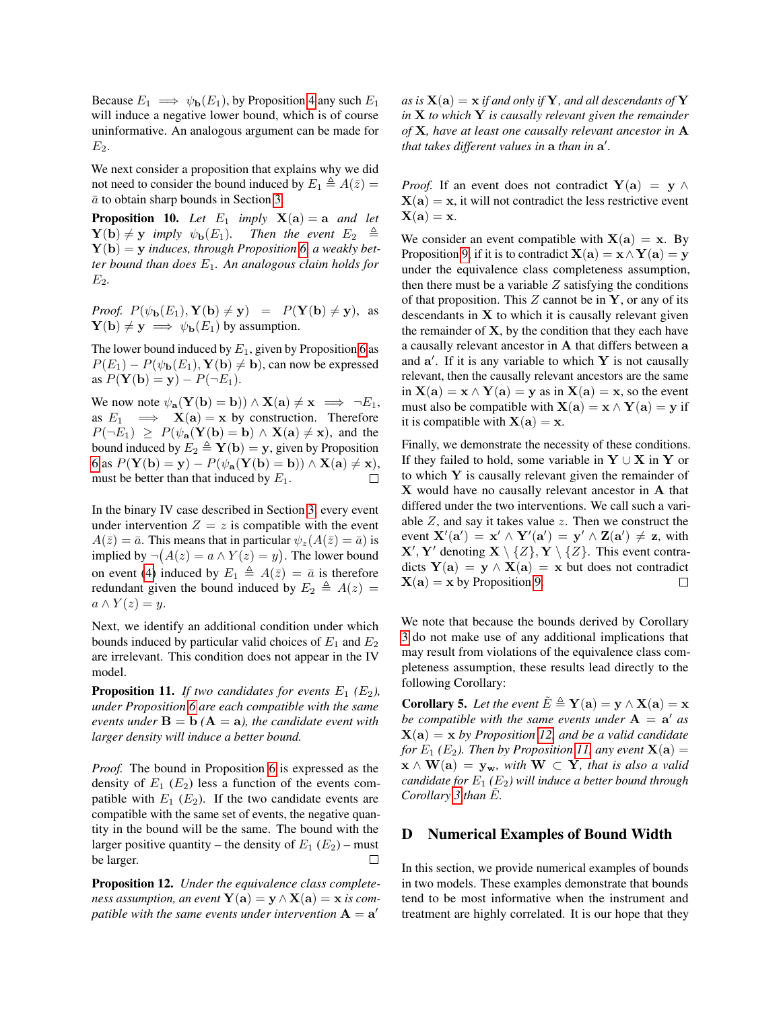Because  $E_1 \implies \psi_{\bf b}(E_1)$ , by Proposition [4](#page-0-0) any such  $E_1$ will induce a negative lower bound, which is of course uninformative. An analogous argument can be made for  $E_2$ .

We next consider a proposition that explains why we did not need to consider the bound induced by  $E_1 \triangleq A(\bar{z}) =$  $\bar{a}$  to obtain sharp bounds in Section [3.](#page-0-0)

<span id="page-2-2"></span>**Proposition 10.** Let  $E_1$  *imply*  $X(a) = a$  *and let*  $\mathbf{Y}(\mathbf{b}) \neq \mathbf{y}$  *imply*  $\psi_{\mathbf{b}}(E_1)$ *. Then the event*  $E_2 \triangleq$ Y(b) = y *induces, through Proposition [6,](#page-0-0) a weakly better bound than does* E1*. An analogous claim holds for* E2*.*

*Proof.*  $P(\psi_{\mathbf{b}}(E_1), \mathbf{Y}(\mathbf{b}) \neq \mathbf{y}) = P(\mathbf{Y}(\mathbf{b}) \neq \mathbf{y})$ , as  $\mathbf{Y}(\mathbf{b}) \neq \mathbf{y} \implies \psi_{\mathbf{b}}(E_1)$  by assumption.

The lower bound induced by  $E_1$ , given by Proposition [6](#page-0-0) as  $P(E_1) - P(\psi_{\bf b}(E_1), Y({\bf b}) \neq {\bf b})$ , can now be expressed as  $P(Y(\mathbf{b}) = y) - P(\neg E_1)$ .

We now note  $\psi_{\mathbf{a}}(\mathbf{Y}(\mathbf{b}) = \mathbf{b}) \wedge \mathbf{X}(\mathbf{a}) \neq \mathbf{x} \implies \neg E_1$ , as  $E_1 \implies X(a) = x$  by construction. Therefore  $P(\neg E_1) \ge P(\psi_{\mathbf{a}}(\mathbf{Y}(\mathbf{b}) = \mathbf{b}) \wedge \mathbf{X}(\mathbf{a}) \ne \mathbf{x})$ , and the bound induced by  $E_2 \triangleq \mathbf{Y}(\mathbf{b}) = \mathbf{y}$ , given by Proposition [6](#page-0-0) as  $P(Y(b) = y) - P(\psi_a(Y(b) = b)) \wedge X(a) \neq x),$ must be better than that induced by  $E_1$ .  $\Box$ 

In the binary IV case described in Section [3,](#page-0-0) every event under intervention  $Z = z$  is compatible with the event  $A(\bar{z}) = \bar{a}$ . This means that in particular  $\psi_z(A(\bar{z}) = \bar{a})$  is implied by  $\neg(A(z) = a \wedge Y(z) = y)$ . The lower bound on event [\(4\)](#page-0-0) induced by  $E_1 \triangleq A(\bar{z}) = \bar{a}$  is therefore redundant given the bound induced by  $E_2 \triangleq A(z)$  =  $a \wedge Y(z) = y.$ 

Next, we identify an additional condition under which bounds induced by particular valid choices of  $E_1$  and  $E_2$ are irrelevant. This condition does not appear in the IV model.

<span id="page-2-1"></span>**Proposition 11.** *If two candidates for events*  $E_1$   $(E_2)$ , *under Proposition [6](#page-0-0) are each compatible with the same events under*  $\mathbf{B} = \mathbf{b}$  ( $\mathbf{A} = \mathbf{a}$ *), the candidate event with larger density will induce a better bound.*

*Proof.* The bound in Proposition [6](#page-0-0) is expressed as the density of  $E_1$  ( $E_2$ ) less a function of the events compatible with  $E_1$  ( $E_2$ ). If the two candidate events are compatible with the same set of events, the negative quantity in the bound will be the same. The bound with the larger positive quantity – the density of  $E_1(E_2)$  – must be larger.  $\Box$ 

<span id="page-2-0"></span>Proposition 12. *Under the equivalence class completeness assumption, an event*  $Y(a) = y \wedge X(a) = x$  *is com*patible with the same events under intervention  $\mathbf{A}=\mathbf{a}^{\prime}$ 

as is  $X(a) = x$  *if and only if* Y, and all descendants of Y *in* X *to which* Y *is causally relevant given the remainder of* X*, have at least one causally relevant ancestor in* A *that takes different values in* a *than in* a 0 *.*

*Proof.* If an event does not contradict  $Y(a) = y \wedge$  $X(a) = x$ , it will not contradict the less restrictive event  $X(a) = x.$ 

We consider an event compatible with  $X(a) = x$ . By Proposition [9,](#page-1-0) if it is to contradict  $X(a) = x \wedge Y(a) = y$ under the equivalence class completeness assumption, then there must be a variable  $Z$  satisfying the conditions of that proposition. This  $Z$  cannot be in  $Y$ , or any of its descendants in  $X$  to which it is causally relevant given the remainder of  $X$ , by the condition that they each have a causally relevant ancestor in A that differs between a and  $a'$ . If it is any variable to which  $Y$  is not causally relevant, then the causally relevant ancestors are the same in  $X(a) = x \wedge Y(a) = y$  as in  $X(a) = x$ , so the event must also be compatible with  $X(a) = x \wedge Y(a) = y$  if it is compatible with  $X(a) = x$ .

Finally, we demonstrate the necessity of these conditions. If they failed to hold, some variable in  $Y \cup X$  in Y or to which  $Y$  is causally relevant given the remainder of X would have no causally relevant ancestor in A that differed under the two interventions. We call such a variable  $Z$ , and say it takes value  $z$ . Then we construct the event  $\mathbf{X}'(\mathbf{a}') = \mathbf{x}' \wedge \mathbf{Y}'(\mathbf{a}') = \mathbf{y}' \wedge \mathbf{Z}(\mathbf{a}') \neq \mathbf{z}$ , with  $X', Y'$  denoting  $X \setminus \{Z\}$ ,  $Y \setminus \{Z\}$ . This event contradicts  $Y(a) = y \wedge X(a) = x$  but does not contradict  $X(a) = x$  by Proposition [9.](#page-1-0) П

We note that because the bounds derived by Corollary [3](#page-0-0) do not make use of any additional implications that may result from violations of the equivalence class completeness assumption, these results lead directly to the following Corollary:

**Corollary 5.** Let the event  $\tilde{E} \triangleq \mathbf{Y}(\mathbf{a}) = \mathbf{y} \wedge \mathbf{X}(\mathbf{a}) = \mathbf{x}$ be compatible with the same events under  $A = a'$  as  $X(a) = x$  by Proposition [12,](#page-2-0) and be a valid candidate *for*  $E_1$  ( $E_2$ ). Then by Proposition [11,](#page-2-1) any event  $\mathbf{X}(\mathbf{a}) =$  $\mathbf{x} \wedge \mathbf{W}(\mathbf{a}) = \mathbf{y}_{\mathbf{w}}$ , with  $\mathbf{W} \subset \mathbf{Y}$ , that is also a valid *candidate for*  $E_1$   $(E_2)$  *will induce a better bound through Corollary* [3](#page-0-0) *than*  $E$ *.* 

#### D Numerical Examples of Bound Width

In this section, we provide numerical examples of bounds in two models. These examples demonstrate that bounds tend to be most informative when the instrument and treatment are highly correlated. It is our hope that they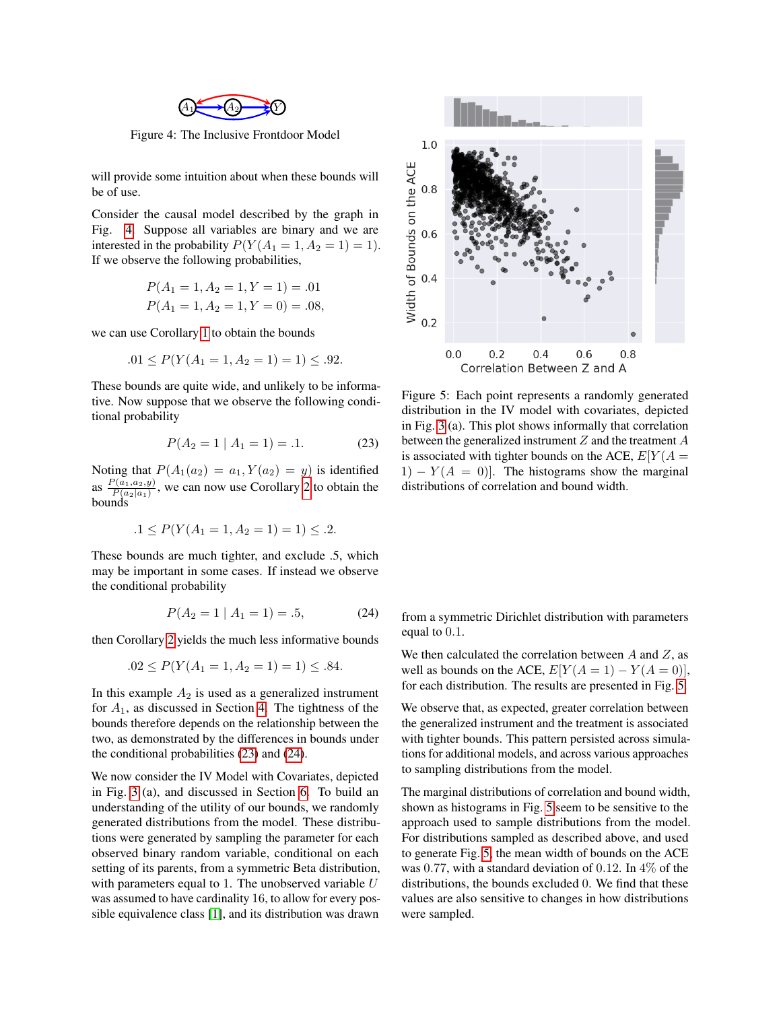

<span id="page-3-0"></span>Figure 4: The Inclusive Frontdoor Model

will provide some intuition about when these bounds will be of use.

Consider the causal model described by the graph in Fig. [4.](#page-3-0) Suppose all variables are binary and we are interested in the probability  $P(Y(A_1 = 1, A_2 = 1) = 1)$ . If we observe the following probabilities,

$$
P(A_1 = 1, A_2 = 1, Y = 1) = .01
$$
  

$$
P(A_1 = 1, A_2 = 1, Y = 0) = .08,
$$

we can use Corollary [1](#page-0-0) to obtain the bounds

$$
.01 \le P(Y(A_1 = 1, A_2 = 1) = 1) \le .92.
$$

These bounds are quite wide, and unlikely to be informative. Now suppose that we observe the following conditional probability

$$
P(A_2 = 1 | A_1 = 1) = .1.
$$
 (23)

Noting that  $P(A_1(a_2) = a_1, Y(a_2) = y)$  is identified as  $\frac{P(a_1, a_2, y)}{P(a_2, a_1)}$  $\frac{P(a_1, a_2, y)}{P(a_2|a_1)}$ , we can now use Corollary [2](#page-0-0) to obtain the bounds

$$
.1 \le P(Y(A_1 = 1, A_2 = 1) = 1) \le .2.
$$

These bounds are much tighter, and exclude .5, which may be important in some cases. If instead we observe the conditional probability

$$
P(A_2 = 1 | A_1 = 1) = .5,
$$
 (24)

then Corollary [2](#page-0-0) yields the much less informative bounds

$$
.02 \le P(Y(A_1 = 1, A_2 = 1) = 1) \le .84.
$$

In this example  $A_2$  is used as a generalized instrument for  $A_1$ , as discussed in Section [4.](#page-0-0) The tightness of the bounds therefore depends on the relationship between the two, as demonstrated by the differences in bounds under the conditional probabilities [\(23\)](#page-3-1) and [\(24\)](#page-3-2).

We now consider the IV Model with Covariates, depicted in Fig. [3](#page-0-0) (a), and discussed in Section [6.](#page-0-0) To build an understanding of the utility of our bounds, we randomly generated distributions from the model. These distributions were generated by sampling the parameter for each observed binary random variable, conditional on each setting of its parents, from a symmetric Beta distribution, with parameters equal to 1. The unobserved variable  $U$ was assumed to have cardinality 16, to allow for every possible equivalence class [\[1\]](#page-5-0), and its distribution was drawn

<span id="page-3-3"></span>

<span id="page-3-1"></span>Figure 5: Each point represents a randomly generated distribution in the IV model with covariates, depicted in Fig. [3](#page-0-0) (a). This plot shows informally that correlation between the generalized instrument Z and the treatment A is associated with tighter bounds on the ACE,  $E[Y(A =$  $1 - Y(A = 0)$ . The histograms show the marginal distributions of correlation and bound width.

<span id="page-3-2"></span>from a symmetric Dirichlet distribution with parameters equal to 0.1.

We then calculated the correlation between  $A$  and  $Z$ , as well as bounds on the ACE,  $E[Y(A = 1) - Y(A = 0)],$ for each distribution. The results are presented in Fig. [5.](#page-3-3)

We observe that, as expected, greater correlation between the generalized instrument and the treatment is associated with tighter bounds. This pattern persisted across simulations for additional models, and across various approaches to sampling distributions from the model.

The marginal distributions of correlation and bound width, shown as histograms in Fig. [5](#page-3-3) seem to be sensitive to the approach used to sample distributions from the model. For distributions sampled as described above, and used to generate Fig. [5,](#page-3-3) the mean width of bounds on the ACE was 0.77, with a standard deviation of 0.12. In 4% of the distributions, the bounds excluded 0. We find that these values are also sensitive to changes in how distributions were sampled.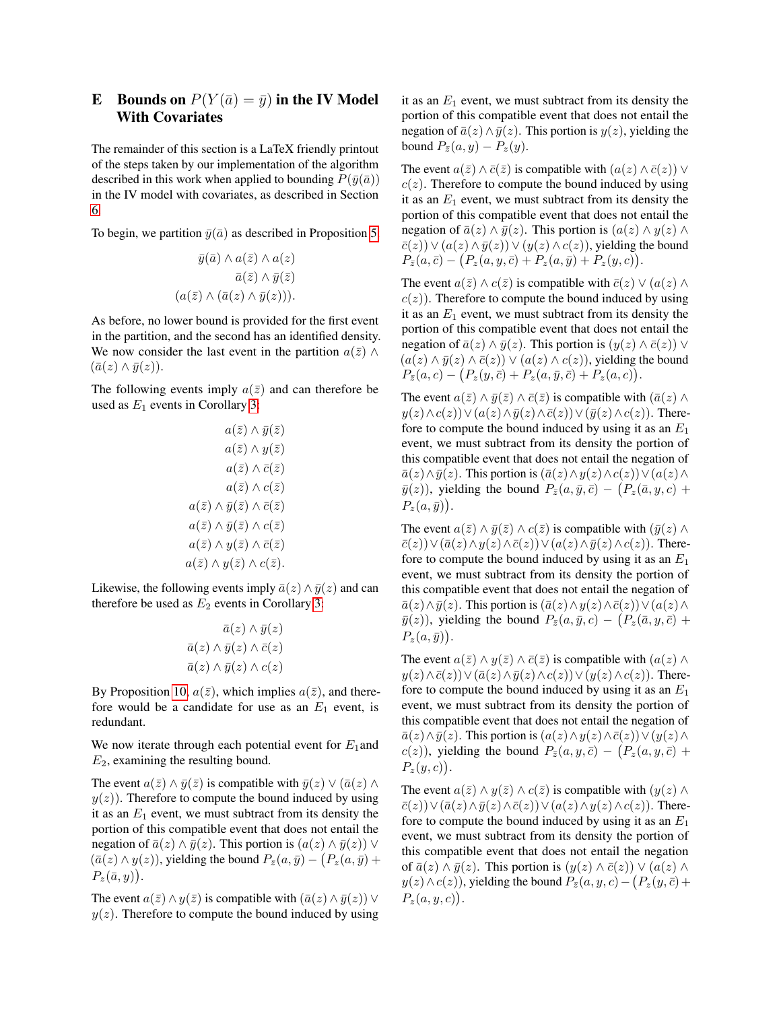# **E** Bounds on  $P(Y(\bar{a}) = \bar{y})$  in the IV Model With Covariates

The remainder of this section is a LaTeX friendly printout of the steps taken by our implementation of the algorithm described in this work when applied to bounding  $P(\bar{y}(\bar{a}))$ in the IV model with covariates, as described in Section [6.](#page-0-0)

To begin, we partition  $\bar{y}(\bar{a})$  as described in Proposition [5:](#page-0-0)

$$
\bar{y}(\bar{a}) \wedge a(\bar{z}) \wedge a(z)
$$

$$
\bar{a}(\bar{z}) \wedge \bar{y}(\bar{z})
$$

$$
(a(\bar{z}) \wedge (\bar{a}(z) \wedge \bar{y}(z))).
$$

As before, no lower bound is provided for the first event in the partition, and the second has an identified density. We now consider the last event in the partition  $a(\bar{z}) \wedge$  $(\bar{a}(z) \wedge \bar{y}(z)).$ 

The following events imply  $a(\bar{z})$  and can therefore be used as  $E_1$  events in Corollary [3:](#page-0-0)

$$
a(\bar{z}) \land \bar{y}(\bar{z})
$$

$$
a(\bar{z}) \land y(\bar{z})
$$

$$
a(\bar{z}) \land \bar{c}(\bar{z})
$$

$$
a(\bar{z}) \land \bar{y}(\bar{z})
$$

$$
a(\bar{z}) \land \bar{y}(\bar{z}) \land \bar{c}(\bar{z})
$$

$$
a(\bar{z}) \land \bar{y}(\bar{z}) \land c(\bar{z})
$$

$$
a(\bar{z}) \land y(\bar{z}) \land \bar{c}(\bar{z})
$$

$$
a(\bar{z}) \land y(\bar{z}) \land c(\bar{z}).
$$

Likewise, the following events imply  $\bar{a}(z) \wedge \bar{y}(z)$  and can therefore be used as  $E_2$  events in Corollary [3:](#page-0-0)

$$
\bar{a}(z) \wedge \bar{y}(z)
$$

$$
\bar{a}(z) \wedge \bar{y}(z) \wedge \bar{c}(z)
$$

$$
\bar{a}(z) \wedge \bar{y}(z) \wedge c(z)
$$

By Proposition [10,](#page-2-2)  $a(\bar{z})$ , which implies  $a(\bar{z})$ , and therefore would be a candidate for use as an  $E_1$  event, is redundant.

We now iterate through each potential event for  $E_1$  and  $E_2$ , examining the resulting bound.

The event  $a(\bar{z}) \wedge \bar{y}(\bar{z})$  is compatible with  $\bar{y}(z) \vee (\bar{a}(z) \wedge \bar{z})$  $y(z)$ ). Therefore to compute the bound induced by using it as an  $E_1$  event, we must subtract from its density the portion of this compatible event that does not entail the negation of  $\bar{a}(z) \wedge \bar{y}(z)$ . This portion is  $(a(z) \wedge \bar{y}(z)) \vee$  $(\bar{a}(z) \wedge y(z))$ , yielding the bound  $P_{\bar{z}}(a, \bar{y}) - (P_z(a, \bar{y}) +$  $P_z(\bar{a}, y)$ .

The event  $a(\bar{z}) \wedge y(\bar{z})$  is compatible with  $(\bar{a}(z) \wedge \bar{y}(z)) \vee$  $y(z)$ . Therefore to compute the bound induced by using it as an  $E_1$  event, we must subtract from its density the portion of this compatible event that does not entail the negation of  $\bar{a}(z) \wedge \bar{y}(z)$ . This portion is  $y(z)$ , yielding the bound  $P_{\bar{z}}(a, y) - P_{z}(y)$ .

The event  $a(\bar{z}) \wedge \bar{c}(\bar{z})$  is compatible with  $(a(z) \wedge \bar{c}(z)) \vee$  $c(z)$ . Therefore to compute the bound induced by using it as an  $E_1$  event, we must subtract from its density the portion of this compatible event that does not entail the negation of  $\bar{a}(z) \wedge \bar{y}(z)$ . This portion is  $(a(z) \wedge y(z) \wedge z)$  $\overline{c}(z)$ )  $\vee$   $(a(z) \wedge \overline{y}(z)) \vee (y(z) \wedge c(z))$ , yielding the bound  $P_{\bar{z}}(a,\bar{c}) - (P_z(a,y,\bar{c}) + P_z(a,\bar{y}) + P_z(y,c)).$ 

The event  $a(\bar{z}) \wedge c(\bar{z})$  is compatible with  $\bar{c}(z) \vee (a(z) \wedge c(z))$  $c(z)$ ). Therefore to compute the bound induced by using it as an  $E_1$  event, we must subtract from its density the portion of this compatible event that does not entail the negation of  $\bar{a}(z) \wedge \bar{y}(z)$ . This portion is  $(y(z) \wedge \bar{c}(z)) \vee$  $(a(z) \wedge \bar{a}(z) \wedge \bar{c}(z)) \vee (a(z) \wedge c(z))$ , yielding the bound  $P_{\bar{z}}(a,c) - (P_z(y,\bar{c}) + P_z(a,\bar{y},\bar{c}) + P_z(a,c)).$ 

The event  $a(\bar{z}) \wedge \bar{y}(\bar{z}) \wedge \bar{c}(\bar{z})$  is compatible with  $(\bar{a}(z) \wedge \bar{b})$  $y(z) \wedge c(z)) \vee (a(z) \wedge \bar{y}(z) \wedge \bar{c}(z)) \vee (\bar{y}(z) \wedge c(z)).$  Therefore to compute the bound induced by using it as an  $E_1$ event, we must subtract from its density the portion of this compatible event that does not entail the negation of  $\overline{a}(z) \wedge \overline{y}(z)$ . This portion is  $(\overline{a}(z) \wedge y(z) \wedge c(z)) \vee (a(z) \wedge$  $\bar{y}(z)$ ), yielding the bound  $P_{\bar{z}}(a, \bar{y}, \bar{c}) - (P_z(\bar{a}, y, c) +$  $P_z(a,\bar{y})$ .

The event  $a(\bar{z}) \wedge \bar{y}(\bar{z}) \wedge c(\bar{z})$  is compatible with  $(\bar{y}(z) \wedge$  $\overline{c}(z)$ )  $\vee$   $(\overline{a}(z) \wedge y(z) \wedge \overline{c}(z)) \vee (a(z) \wedge \overline{y}(z) \wedge c(z))$ . Therefore to compute the bound induced by using it as an  $E_1$ event, we must subtract from its density the portion of this compatible event that does not entail the negation of  $\overline{a}(z) \wedge \overline{y}(z)$ . This portion is  $(\overline{a}(z) \wedge y(z) \wedge \overline{c}(z)) \vee (a(z) \wedge \overline{z}(z))$  $\bar{y}(z)$ ), yielding the bound  $P_{\bar{z}}(a, \bar{y}, c) - (P_z(\bar{a}, y, \bar{c}) +$  $P_z(a,\bar{y})$ .

The event  $a(\bar{z}) \wedge y(\bar{z}) \wedge \bar{c}(\bar{z})$  is compatible with  $(a(z) \wedge$  $y(z) \wedge \overline{c}(z) \vee (\overline{a}(z) \wedge \overline{y}(z) \wedge c(z)) \vee (y(z) \wedge c(z)).$  Therefore to compute the bound induced by using it as an  $E_1$ event, we must subtract from its density the portion of this compatible event that does not entail the negation of  $\bar{a}(z) \wedge \bar{y}(z)$ . This portion is  $(a(z) \wedge y(z) \wedge \bar{c}(z)) \vee (y(z) \wedge \bar{z}(z))$  $c(z)$ ), yielding the bound  $P_{\bar{z}}(a, y, \bar{c}) - (P_z(a, y, \bar{c}) +$  $P_z(y, c)$ .

The event  $a(\overline{z}) \wedge y(\overline{z}) \wedge c(\overline{z})$  is compatible with  $(y(z) \wedge z)$  $\overline{c}(z)$ )  $\vee$   $(\overline{a}(z) \wedge \overline{y}(z) \wedge \overline{c}(z)) \vee (a(z) \wedge y(z) \wedge c(z))$ . Therefore to compute the bound induced by using it as an  $E_1$ event, we must subtract from its density the portion of this compatible event that does not entail the negation of  $\bar{a}(z) \wedge \bar{y}(z)$ . This portion is  $(y(z) \wedge \bar{c}(z)) \vee (a(z) \wedge \bar{c}(z))$  $y(z) \wedge c(z)$ ), yielding the bound  $P_{\bar{z}}(a, y, c) - (P_z(y, \bar{c}) +$  $P_z(a,y,c)$ .